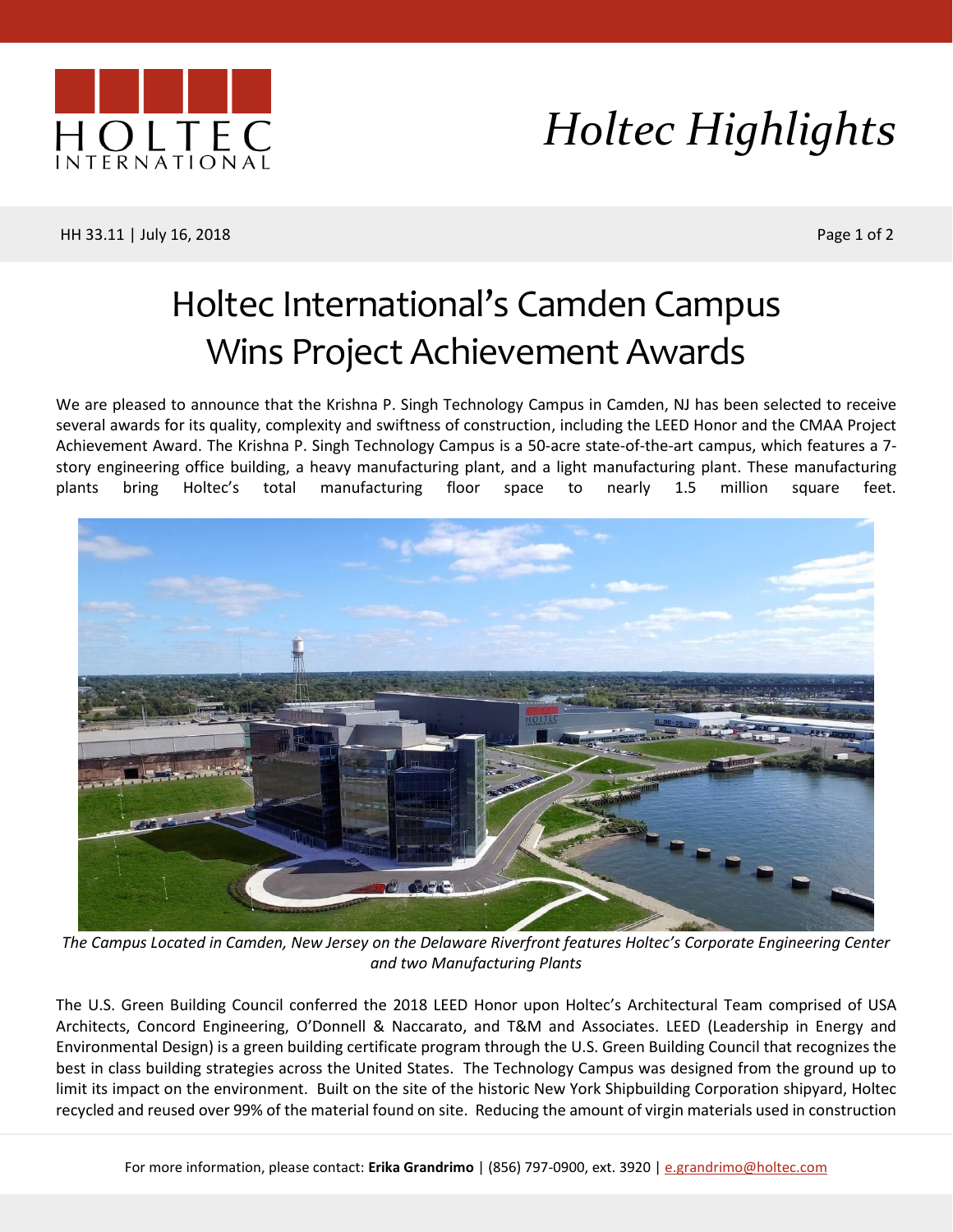

## *Holtec Highlights*

HH 33.11 | July 16, 2018 Page 1 of 2

## Holtec International's Camden Campus Wins Project Achievement Awards

We are pleased to announce that the Krishna P. Singh Technology Campus in Camden, NJ has been selected to receive several awards for its quality, complexity and swiftness of construction, including the LEED Honor and the CMAA Project Achievement Award. The Krishna P. Singh Technology Campus is a 50-acre state-of-the-art campus, which features a 7 story engineering office building, a heavy manufacturing plant, and a light manufacturing plant. These manufacturing plants bring Holtec's total manufacturing floor space to nearly 1.5 million square feet.



*The Campus Located in Camden, New Jersey on the Delaware Riverfront features Holtec's Corporate Engineering Center and two Manufacturing Plants*

The U.S. Green Building Council conferred the 2018 LEED Honor upon Holtec's Architectural Team comprised of USA Architects, Concord Engineering, O'Donnell & Naccarato, and T&M and Associates. LEED (Leadership in Energy and Environmental Design) is a green building certificate program through the U.S. Green Building Council that recognizes the best in class building strategies across the United States. The Technology Campus was designed from the ground up to limit its impact on the environment. Built on the site of the historic New York Shipbuilding Corporation shipyard, Holtec recycled and reused over 99% of the material found on site. Reducing the amount of virgin materials used in construction